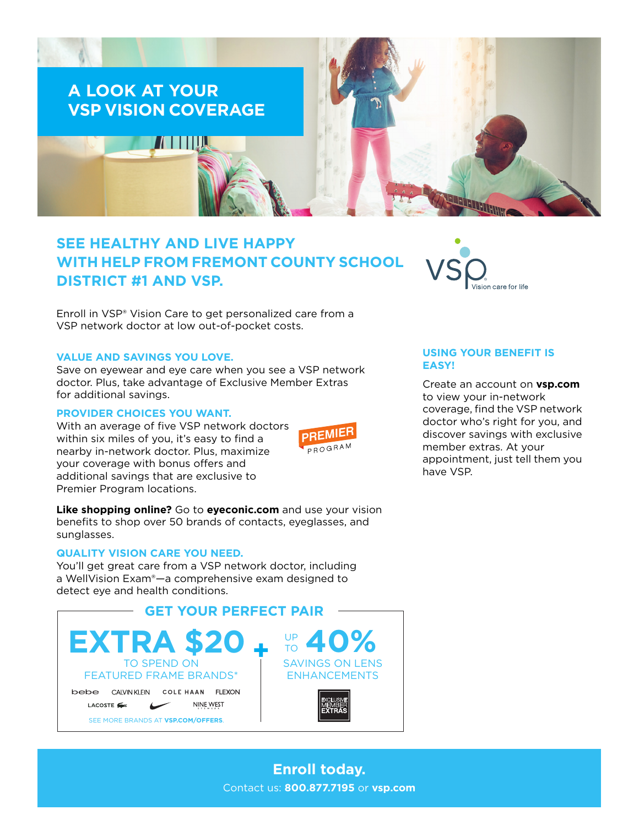

# **SEE HEALTHY AND LIVE HAPPY WITH HELP FROM FREMONT COUNTY SCHOOL DISTRICT #1 AND VSP.**

Enroll in VSP® Vision Care to get personalized care from a VSP network doctor at low out-of-pocket costs.

## **VALUE AND SAVINGS YOU LOVE.**

Save on eyewear and eye care when you see a VSP network doctor. Plus, take advantage of Exclusive Member Extras for additional savings.

# **PROVIDER CHOICES YOU WANT.**

With an average of five VSP network doctors within six miles of you, it's easy to find a nearby in-network doctor. Plus, maximize your coverage with bonus offers and additional savings that are exclusive to Premier Program locations.



**Like shopping online?** Go to **[eyeconic.com](https://www.eyeconic.com)** and use your vision benefits to shop over 50 brands of contacts, eyeglasses, and sunglasses.

#### **QUALITY VISION CARE YOU NEED.**

You'll get great care from a VSP network doctor, including a WellVision Exam®—a comprehensive exam designed to detect eye and health conditions.





# **USING YOUR BENEFIT IS EASY!**

Create an account on **[vsp.com](http://www.vsp.com)** to view your in-network coverage, find the VSP network doctor who's right for you, and discover savings with exclusive member extras. At your appointment, just tell them you have VSP.

**Enroll today.** Contact us: **800.877.7195** or **[vsp.com](http://www.vsp.com)**